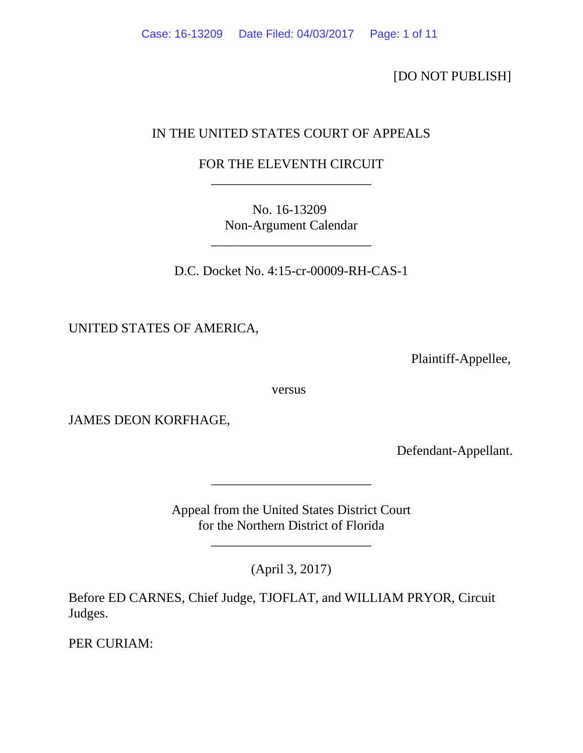[DO NOT PUBLISH]

# IN THE UNITED STATES COURT OF APPEALS

## FOR THE ELEVENTH CIRCUIT \_\_\_\_\_\_\_\_\_\_\_\_\_\_\_\_\_\_\_\_\_\_\_\_

No. 16-13209 Non-Argument Calendar

\_\_\_\_\_\_\_\_\_\_\_\_\_\_\_\_\_\_\_\_\_\_\_\_

D.C. Docket No. 4:15-cr-00009-RH-CAS-1

UNITED STATES OF AMERICA,

Plaintiff-Appellee,

versus

JAMES DEON KORFHAGE,

Defendant-Appellant.

Appeal from the United States District Court for the Northern District of Florida

\_\_\_\_\_\_\_\_\_\_\_\_\_\_\_\_\_\_\_\_\_\_\_\_

\_\_\_\_\_\_\_\_\_\_\_\_\_\_\_\_\_\_\_\_\_\_\_\_

(April 3, 2017)

Before ED CARNES, Chief Judge, TJOFLAT, and WILLIAM PRYOR, Circuit Judges.

PER CURIAM: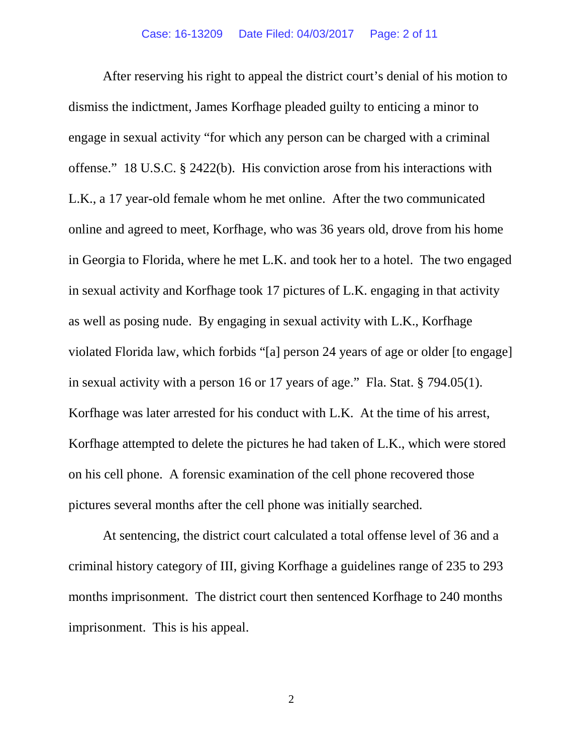After reserving his right to appeal the district court's denial of his motion to dismiss the indictment, James Korfhage pleaded guilty to enticing a minor to engage in sexual activity "for which any person can be charged with a criminal offense." 18 U.S.C. § 2422(b). His conviction arose from his interactions with L.K., a 17 year-old female whom he met online. After the two communicated online and agreed to meet, Korfhage, who was 36 years old, drove from his home in Georgia to Florida, where he met L.K. and took her to a hotel. The two engaged in sexual activity and Korfhage took 17 pictures of L.K. engaging in that activity as well as posing nude. By engaging in sexual activity with L.K., Korfhage violated Florida law, which forbids "[a] person 24 years of age or older [to engage] in sexual activity with a person 16 or 17 years of age." Fla. Stat. § 794.05(1). Korfhage was later arrested for his conduct with L.K. At the time of his arrest, Korfhage attempted to delete the pictures he had taken of L.K., which were stored on his cell phone. A forensic examination of the cell phone recovered those pictures several months after the cell phone was initially searched.

At sentencing, the district court calculated a total offense level of 36 and a criminal history category of III, giving Korfhage a guidelines range of 235 to 293 months imprisonment. The district court then sentenced Korfhage to 240 months imprisonment. This is his appeal.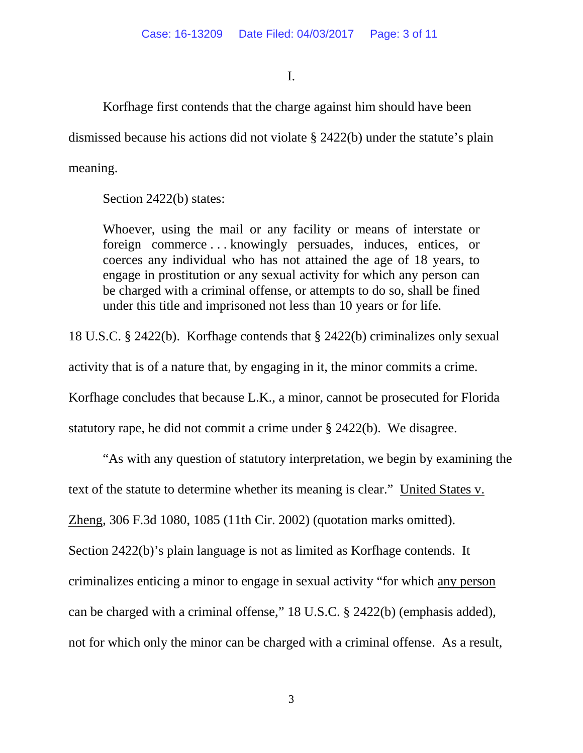I.

Korfhage first contends that the charge against him should have been

dismissed because his actions did not violate § 2422(b) under the statute's plain

meaning.

Section 2422(b) states:

Whoever, using the mail or any facility or means of interstate or foreign commerce . . . knowingly persuades, induces, entices, or coerces any individual who has not attained the age of 18 years, to engage in prostitution or any sexual activity for which any person can be charged with a criminal offense, or attempts to do so, shall be fined under this title and imprisoned not less than 10 years or for life.

18 U.S.C. § 2422(b). Korfhage contends that § 2422(b) criminalizes only sexual activity that is of a nature that, by engaging in it, the minor commits a crime. Korfhage concludes that because L.K., a minor, cannot be prosecuted for Florida statutory rape, he did not commit a crime under § 2422(b). We disagree.

"As with any question of statutory interpretation, we begin by examining the text of the statute to determine whether its meaning is clear." United States v. Zheng, 306 F.3d 1080, 1085 (11th Cir. 2002) (quotation marks omitted). Section 2422(b)'s plain language is not as limited as Korfhage contends. It criminalizes enticing a minor to engage in sexual activity "for which any person can be charged with a criminal offense," 18 U.S.C. § 2422(b) (emphasis added), not for which only the minor can be charged with a criminal offense. As a result,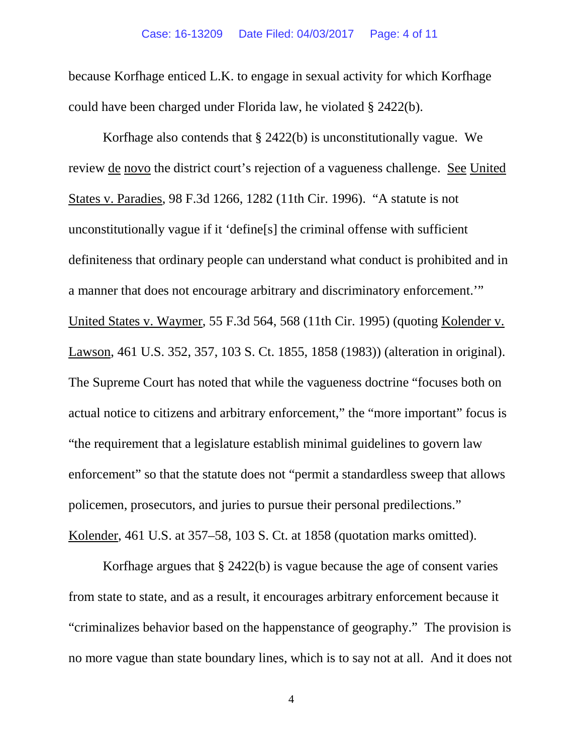because Korfhage enticed L.K. to engage in sexual activity for which Korfhage could have been charged under Florida law, he violated § 2422(b).

Korfhage also contends that § 2422(b) is unconstitutionally vague. We review de novo the district court's rejection of a vagueness challenge. See United States v. Paradies, 98 F.3d 1266, 1282 (11th Cir. 1996). "A statute is not unconstitutionally vague if it 'define[s] the criminal offense with sufficient definiteness that ordinary people can understand what conduct is prohibited and in a manner that does not encourage arbitrary and discriminatory enforcement.'" United States v. Waymer, 55 F.3d 564, 568 (11th Cir. 1995) (quoting Kolender v. Lawson, 461 U.S. 352, 357, 103 S. Ct. 1855, 1858 (1983)) (alteration in original). The Supreme Court has noted that while the vagueness doctrine "focuses both on actual notice to citizens and arbitrary enforcement," the "more important" focus is "the requirement that a legislature establish minimal guidelines to govern law enforcement" so that the statute does not "permit a standardless sweep that allows policemen, prosecutors, and juries to pursue their personal predilections." Kolender, 461 U.S. at 357–58, 103 S. Ct. at 1858 (quotation marks omitted).

Korfhage argues that § 2422(b) is vague because the age of consent varies from state to state, and as a result, it encourages arbitrary enforcement because it "criminalizes behavior based on the happenstance of geography." The provision is no more vague than state boundary lines, which is to say not at all. And it does not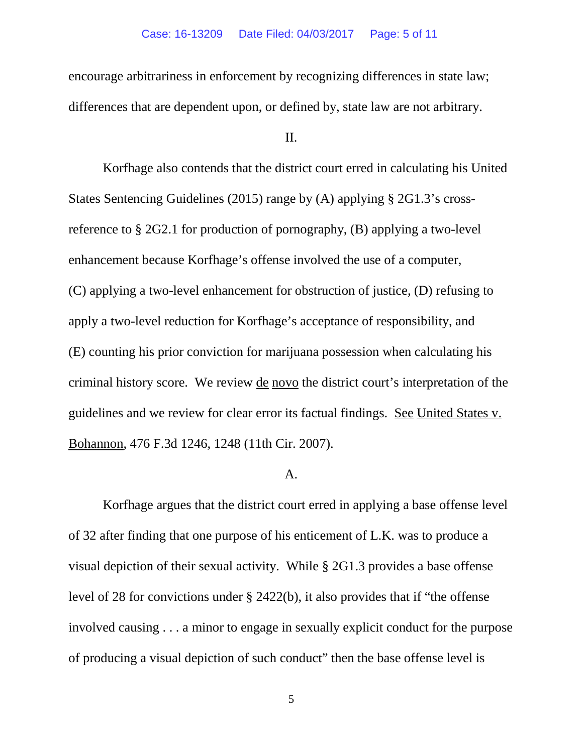encourage arbitrariness in enforcement by recognizing differences in state law; differences that are dependent upon, or defined by, state law are not arbitrary.

II.

Korfhage also contends that the district court erred in calculating his United States Sentencing Guidelines (2015) range by (A) applying § 2G1.3's crossreference to § 2G2.1 for production of pornography, (B) applying a two-level enhancement because Korfhage's offense involved the use of a computer, (C) applying a two-level enhancement for obstruction of justice, (D) refusing to apply a two-level reduction for Korfhage's acceptance of responsibility, and (E) counting his prior conviction for marijuana possession when calculating his criminal history score. We review de novo the district court's interpretation of the guidelines and we review for clear error its factual findings. See United States v. Bohannon, 476 F.3d 1246, 1248 (11th Cir. 2007).

#### A.

Korfhage argues that the district court erred in applying a base offense level of 32 after finding that one purpose of his enticement of L.K. was to produce a visual depiction of their sexual activity. While § 2G1.3 provides a base offense level of 28 for convictions under § 2422(b), it also provides that if "the offense involved causing . . . a minor to engage in sexually explicit conduct for the purpose of producing a visual depiction of such conduct" then the base offense level is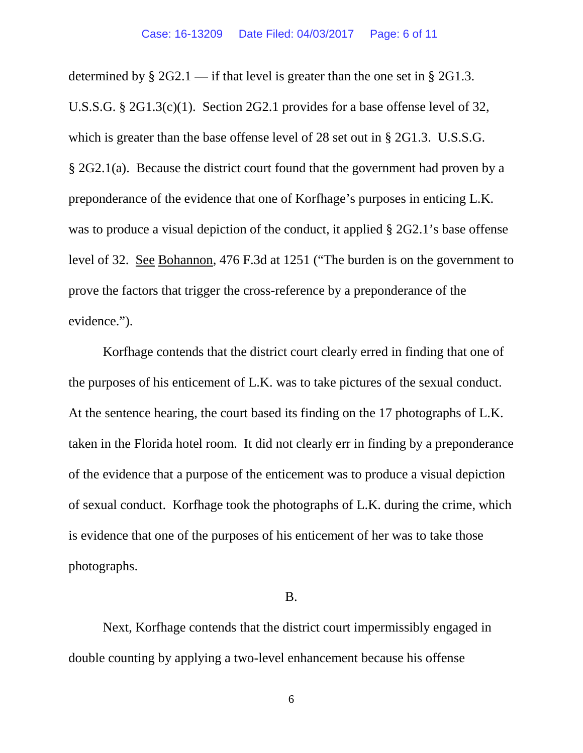determined by  $\S 2G2.1$  — if that level is greater than the one set in  $\S 2G1.3$ . U.S.S.G. § 2G1.3(c)(1). Section 2G2.1 provides for a base offense level of 32, which is greater than the base offense level of 28 set out in § 2G1.3. U.S.S.G. § 2G2.1(a). Because the district court found that the government had proven by a preponderance of the evidence that one of Korfhage's purposes in enticing L.K. was to produce a visual depiction of the conduct, it applied  $\S 2G2.1$ 's base offense level of 32. See Bohannon, 476 F.3d at 1251 ("The burden is on the government to prove the factors that trigger the cross-reference by a preponderance of the evidence.").

Korfhage contends that the district court clearly erred in finding that one of the purposes of his enticement of L.K. was to take pictures of the sexual conduct. At the sentence hearing, the court based its finding on the 17 photographs of L.K. taken in the Florida hotel room. It did not clearly err in finding by a preponderance of the evidence that a purpose of the enticement was to produce a visual depiction of sexual conduct. Korfhage took the photographs of L.K. during the crime, which is evidence that one of the purposes of his enticement of her was to take those photographs.

### B.

Next, Korfhage contends that the district court impermissibly engaged in double counting by applying a two-level enhancement because his offense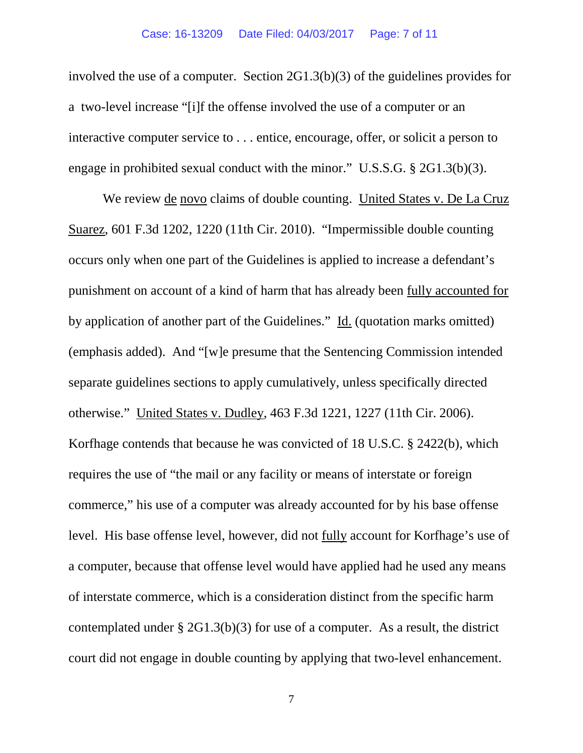involved the use of a computer. Section 2G1.3(b)(3) of the guidelines provides for a two-level increase "[i]f the offense involved the use of a computer or an interactive computer service to . . . entice, encourage, offer, or solicit a person to engage in prohibited sexual conduct with the minor." U.S.S.G. § 2G1.3(b)(3).

We review de novo claims of double counting. United States v. De La Cruz Suarez, 601 F.3d 1202, 1220 (11th Cir. 2010). "Impermissible double counting occurs only when one part of the Guidelines is applied to increase a defendant's punishment on account of a kind of harm that has already been fully accounted for by application of another part of the Guidelines." Id. (quotation marks omitted) (emphasis added). And "[w]e presume that the Sentencing Commission intended separate guidelines sections to apply cumulatively, unless specifically directed otherwise." United States v. Dudley, 463 F.3d 1221, 1227 (11th Cir. 2006). Korfhage contends that because he was convicted of 18 U.S.C. § 2422(b), which requires the use of "the mail or any facility or means of interstate or foreign commerce," his use of a computer was already accounted for by his base offense level. His base offense level, however, did not fully account for Korfhage's use of a computer, because that offense level would have applied had he used any means of interstate commerce, which is a consideration distinct from the specific harm contemplated under § 2G1.3(b)(3) for use of a computer. As a result, the district court did not engage in double counting by applying that two-level enhancement.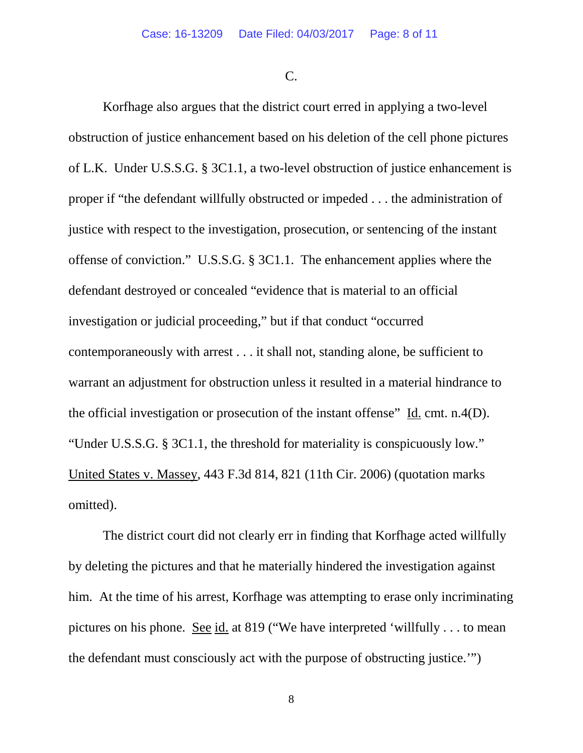C.

Korfhage also argues that the district court erred in applying a two-level obstruction of justice enhancement based on his deletion of the cell phone pictures of L.K. Under U.S.S.G. § 3C1.1, a two-level obstruction of justice enhancement is proper if "the defendant willfully obstructed or impeded . . . the administration of justice with respect to the investigation, prosecution, or sentencing of the instant offense of conviction." U.S.S.G. § 3C1.1. The enhancement applies where the defendant destroyed or concealed "evidence that is material to an official investigation or judicial proceeding," but if that conduct "occurred contemporaneously with arrest . . . it shall not, standing alone, be sufficient to warrant an adjustment for obstruction unless it resulted in a material hindrance to the official investigation or prosecution of the instant offense" Id. cmt. n.4(D). "Under U.S.S.G. § 3C1.1, the threshold for materiality is conspicuously low." United States v. Massey, 443 F.3d 814, 821 (11th Cir. 2006) (quotation marks omitted).

The district court did not clearly err in finding that Korfhage acted willfully by deleting the pictures and that he materially hindered the investigation against him. At the time of his arrest, Korfhage was attempting to erase only incriminating pictures on his phone. See id. at 819 ("We have interpreted 'willfully . . . to mean the defendant must consciously act with the purpose of obstructing justice.'")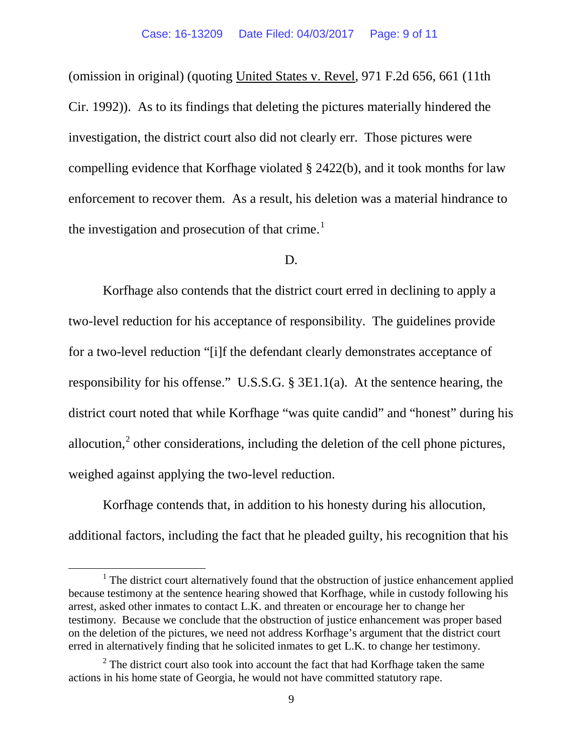(omission in original) (quoting United States v. Revel, 971 F.2d 656, 661 (11th Cir. 1992)). As to its findings that deleting the pictures materially hindered the investigation, the district court also did not clearly err. Those pictures were compelling evidence that Korfhage violated § 2422(b), and it took months for law enforcement to recover them. As a result, his deletion was a material hindrance to the investigation and prosecution of that crime.<sup>[1](#page-8-0)</sup>

#### D.

Korfhage also contends that the district court erred in declining to apply a two-level reduction for his acceptance of responsibility. The guidelines provide for a two-level reduction "[i]f the defendant clearly demonstrates acceptance of responsibility for his offense." U.S.S.G. § 3E1.1(a). At the sentence hearing, the district court noted that while Korfhage "was quite candid" and "honest" during his allocution, $\alpha^2$  $\alpha^2$  other considerations, including the deletion of the cell phone pictures, weighed against applying the two-level reduction.

Korfhage contends that, in addition to his honesty during his allocution, additional factors, including the fact that he pleaded guilty, his recognition that his

<span id="page-8-0"></span><sup>&</sup>lt;sup>1</sup> The district court alternatively found that the obstruction of justice enhancement applied because testimony at the sentence hearing showed that Korfhage, while in custody following his arrest, asked other inmates to contact L.K. and threaten or encourage her to change her testimony. Because we conclude that the obstruction of justice enhancement was proper based on the deletion of the pictures, we need not address Korfhage's argument that the district court erred in alternatively finding that he solicited inmates to get L.K. to change her testimony.

<span id="page-8-1"></span> $2$  The district court also took into account the fact that had Korfhage taken the same actions in his home state of Georgia, he would not have committed statutory rape.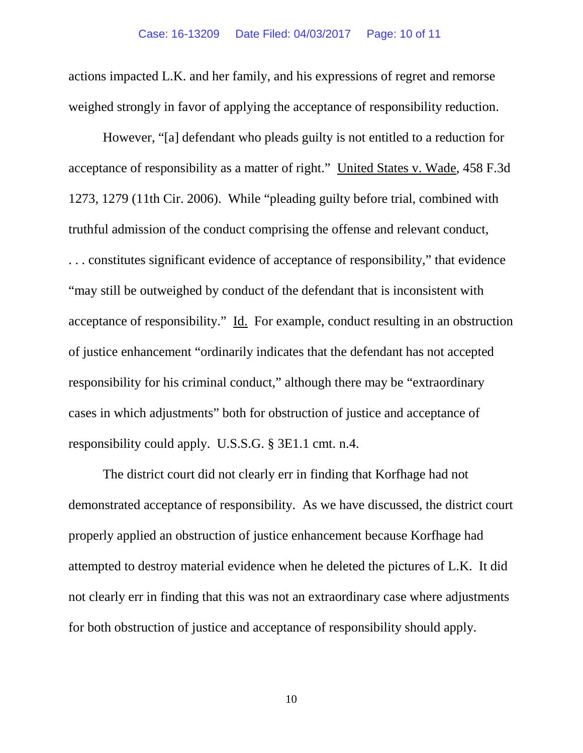actions impacted L.K. and her family, and his expressions of regret and remorse weighed strongly in favor of applying the acceptance of responsibility reduction.

However, "[a] defendant who pleads guilty is not entitled to a reduction for acceptance of responsibility as a matter of right." United States v. Wade, 458 F.3d 1273, 1279 (11th Cir. 2006). While "pleading guilty before trial, combined with truthful admission of the conduct comprising the offense and relevant conduct, . . . constitutes significant evidence of acceptance of responsibility," that evidence "may still be outweighed by conduct of the defendant that is inconsistent with acceptance of responsibility." Id. For example, conduct resulting in an obstruction of justice enhancement "ordinarily indicates that the defendant has not accepted responsibility for his criminal conduct," although there may be "extraordinary cases in which adjustments" both for obstruction of justice and acceptance of responsibility could apply. U.S.S.G. § 3E1.1 cmt. n.4.

The district court did not clearly err in finding that Korfhage had not demonstrated acceptance of responsibility. As we have discussed, the district court properly applied an obstruction of justice enhancement because Korfhage had attempted to destroy material evidence when he deleted the pictures of L.K. It did not clearly err in finding that this was not an extraordinary case where adjustments for both obstruction of justice and acceptance of responsibility should apply.